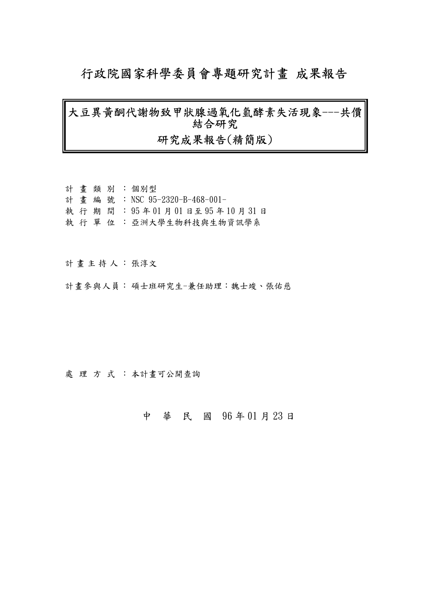# 行政院國家科學委員會專題研究計畫 成果報告

# 大豆異黃酮代謝物致甲狀腺過氧化氫酵素失活現象---共價 結合研究 研究成果報告(精簡版)

|  |  | 計 書類別:個別型                        |
|--|--|----------------------------------|
|  |  | 計 書 編 號 : NSC 95-2320-B-468-001- |
|  |  | 執行期間: 95年01月01日至95年10月31日        |
|  |  | 執 行 單 位 : 亞洲大學生物科技與生物資訊學系        |

計畫主持人: 張淳文

計書參與人員:碩士班研究生-兼任助理:魏士竣、張佑慈

處理方式:本計畫可公開查詢

中 華 民 國 96 年 01 月 23 日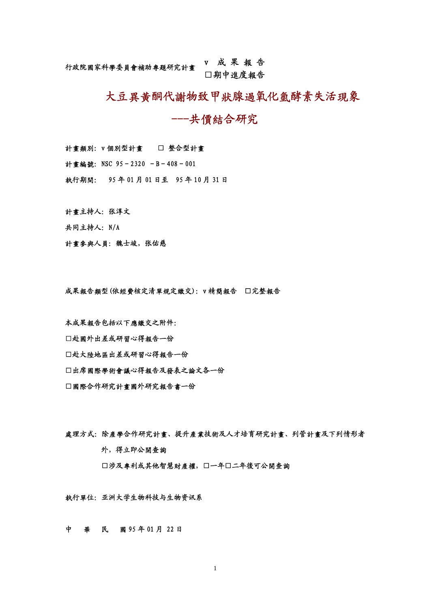## 行政院國家科學委員會補助專題研究計畫 <sup>v</sup> 成 果 <sup>報</sup> <sup>告</sup> □期中進度報告

# 大豆異黃酮代謝物致甲狀腺過氧化氫酵素失活現象

## ---共價結合研究

計畫類別: v 個別型計畫 □ 整合型計畫

計畫編號: NSC 95-2320 -B-408-001

執行期間: 95 年 01 月 01 日至 95 年 10 月 31 日

計書主持人: 张淳文

共同主持人: N/A

計畫參與人員: 魏士竣, 张佑慈

成果報告類型(依經費核定清單規定繳交):v 精簡報告 □完整報告

本成果報告包括以下應繳交之附件:

- □赴國外出差或研習心得報告一份
- □赴大陸地區出差或研習心得報告一份

□出席國際學術會議心得報告及發表之論文各一份

□國際合作研究計畫國外研究報告書一份

處理方式:除產學合作研究計畫、提升產業技術及人才培育研究計畫、列管計畫及下列情形者 外,得立即公開查詢 □涉及專利或其他智慧財產權,□一年□二年後可公開查詢

執行單位:亚洲大学生物科技与生物资讯系

中 華 民 國 95 年 01 月 22 日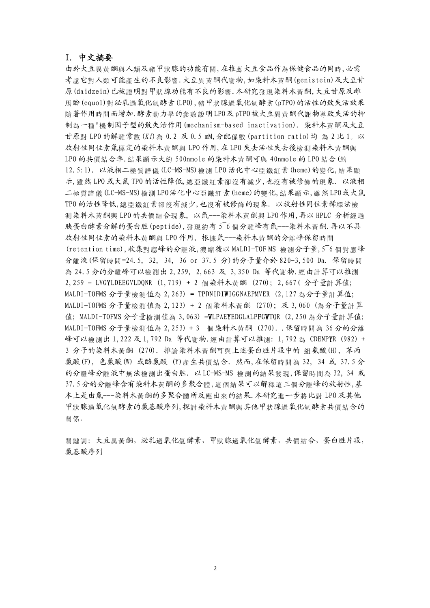#### I.中文摘要

由於大豆異黃酮與人類及豬甲狀腺的功能有關,在推薦大豆食品作為保健食品的同時,必需 考慮它對人類可能產生的不良影響.大豆異黃酮代謝物,如染料木黃酮(genistein)及大豆甘 原(daidzein)已被證明對甲狀腺功能有不良的影響.本研究發現染料木黃酮,大豆甘原及雌 馬酚(equol)對泌乳過氧化氫酵素(LPO),豬甲狀腺過氧化氫酵素(pTPO)的活性的致失活效果 隨著作用時間而增加.酵素動力學的參數說明LPO及pTPO被大豆異黃酮代謝物導致失活的抑 制為一種"機制因子型的致失活作用(mechanism-based inactivation). 染料木黃酮及大豆 甘原對 LPO 的解離常數(Ki)為 0.2 及 0.5 mM,分配係數(partition ratio)均 為 2 比 1。以 放射性同位素氚標定的染料木黃酮與 LPO 作用,在 LPO 失去活性失去後檢測染料木黃酮與 LPO 的共價結合率.結果顯示大約 500nmole 的染料木黃酮可與 40nmole 的 LPO 結合(約 12.5:1). 以液相二極質譜儀(LC-MS-MS)檢測 LPO 活化中心亞鐵紅素(heme)的變化,結果顯 示,雖然 LPO 或大鼠 TPO 的活性降低,總亞鐵紅素卻沒有減少,也沒有被修飾的現象. 以液相 二極質譜儀(LC-MS-MS)檢測 LPO活化中心亞鐵紅素(heme)的變化,結果顯示,雖然LPO或大鼠 TPO 的活性降低,總亞鐵紅素卻沒有減少,也沒有被修飾的現象. 以放射性同位素稀釋法檢 測染料木黃酮與 LPO 的共價結合現象, 以氚---染料木黃酮與 LPO 作用,再以 HPLC 分析經過 胰蛋白酵素分解的蛋白胜(peptide),發現約有 5~6 個分離峰有氚---染料木黃酮.再以不具 放射性同位素的染料木黃酮與 LPO 作用, 根據氚---染料木黃酮的分離峰保留時間 (retention time),收集對應峰的分離液,濃縮後以 MALDI-TOF MS 檢測分子量,5~6 個對應峰 分離液(保留時間=24.5, 32, 34, 36 or 37.5 分)的分子量介於 820-3,500 Da. 保留時間 為 24.5 分的分離峰可以檢測出 2,259, 2,663 及 3,350 Da 等代謝物.經由計算可以推測 2,259 = LVGYLDEEGVLDQNR (1,719) + 2 個染料木黃酮 (270); 2,667( 分子量計算值; MALDI-TOFMS 分子量檢測值為 2,263) = TPDNIDIWIGGNAEPMVER (2,127 為分子量計算值; MALDI-TOFMS 分子量檢測值為 2,123) + 2 個染料木黃酮 (270); 及 3,060 (為分子量計算 值; MALDI-TOFMS 分子量檢測值為 3,063) =WLPAEYEDGLALPFGWTQR (2,250 為分子量計算值; MALDI-TOFMS 分子量檢測值為 2,253) + 3 個染料木黃酮 (270). .保留時間為 36 分的分離 峰可以檢測出 1,222 及 1,792 Da 等代謝物. 經由計算可以推測: 1,792 為 CDENPYR (982) + 3 分子的染料木黃酮 (270). 推論染料木黃酮可與上述蛋白胜片段中的 組氨酸(H), 苯丙 氨酸(F), 色氨酸(W) 或酪氨酸 (Y)產生共價結合. 然而,在保留時間為 32, 34 或 37.5 分 的分離峰分離液中無法檢測出蛋白胜. 以LC-MS-MS 檢測的結果發現,保留時間為 32, 34 或 37.5 分的分離峰含有染料木黃酮的多聚合體,這個結果可以解釋這三個分離峰的放射性,基 本上是由氚---染料木黃酮的多聚合體所反應出來的結果.本研究進一步將比對 LPO 及其他 甲狀腺過氧化氫酵素的氨基酸序列,探討染料木黃酮與其他甲狀腺過氧化氫酵素共價結合的 關係.

關鍵詞:大豆異黃酮,泌乳過氧化氫酵素,甲狀腺過氧化氫酵素,共價結合,蛋白胜片段, 氨基酸序列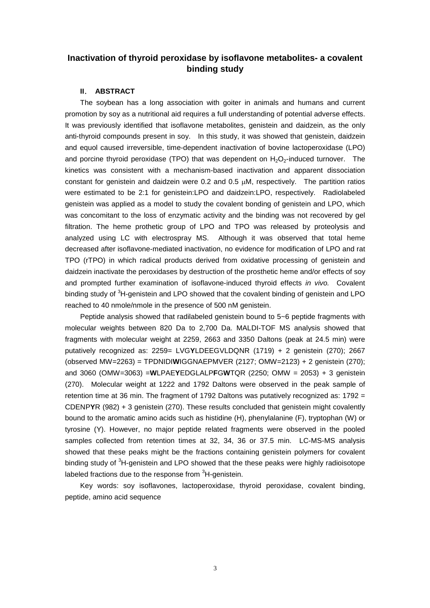## **Inactivation of thyroid peroxidase by isoflavone metabolites- a covalent binding study**

#### **II**. **ABSTRACT**

The soybean has a long association with goiter in animals and humans and current promotion by soy as a nutritional aid requires a full understanding of potential adverse effects. It was previously identified that isoflavone metabolites, genistein and daidzein, as the only anti-thyroid compounds present in soy. In this study, it was showed that genistein, daidzein and equol caused irreversible, time-dependent inactivation of bovine lactoperoxidase (LPO) and porcine thyroid peroxidase (TPO) that was dependent on  $H_2O_2$ -induced turnover. The kinetics was consistent with a mechanism-based inactivation and apparent dissociation constant for genistein and daidzein were  $0.2$  and  $0.5 \mu$ M, respectively. The partition ratios were estimated to be 2:1 for genistein:LPO and daidzein:LPO, respectively. Radiolabeled genistein was applied as a model to study the covalent bonding of genistein and LPO, which was concomitant to the loss of enzymatic activity and the binding was not recovered by gel filtration. The heme prothetic group of LPO and TPO was released by proteolysis and analyzed using LC with electrospray MS. Although it was observed that total heme decreased after isoflavone-mediated inactivation, no evidence for modification of LPO and rat TPO (rTPO) in which radical products derived from oxidative processing of genistein and daidzein inactivate the peroxidases by destruction of the prosthetic heme and/or effects of soy and prompted further examination of isoflavone-induced thyroid effects *in vivo.* Covalent binding study of <sup>3</sup>H-genistein and LPO showed that the covalent binding of genistein and LPO reached to 40 nmole/nmole in the presence of 500 nM genistein.

Peptide analysis showed that radilabeled genistein bound to 5~6 peptide fragments with molecular weights between 820 Da to 2,700 Da. MALDI-TOF MS analysis showed that fragments with molecular weight at 2259, 2663 and 3350 Daltons (peak at 24.5 min) were putatively recognized as: 2259= LVG**Y**LDEEGVLDQNR (1719) + 2 genistein (270); 2667 (observed MW=2263) = TPDNIDI**W**IGGNAEPMVER (2127; OMW=2123) + 2 genistein (270); and 3060 (OMW=3063) =**W**LPAE**Y**EDGLALP**F**G**W**TQR (2250; OMW = 2053) + 3 genistein (270). Molecular weight at 1222 and 1792 Daltons were observed in the peak sample of retention time at 36 min. The fragment of 1792 Daltons was putatively recognized as: 1792 = CDENP**Y**R (982) + 3 genistein (270). These results concluded that genistein might covalently bound to the aromatic amino acids such as histidine (H), phenylalanine (F), tryptophan (W) or tyrosine (Y). However, no major peptide related fragments were observed in the pooled samples collected from retention times at 32, 34, 36 or 37.5 min. LC-MS-MS analysis showed that these peaks might be the fractions containing genistein polymers for covalent binding study of <sup>3</sup>H-genistein and LPO showed that the these peaks were highly radioisotope labeled fractions due to the response from  $3H$ -genistein.

Key words: soy isoflavones, lactoperoxidase, thyroid peroxidase, covalent binding, peptide, amino acid sequence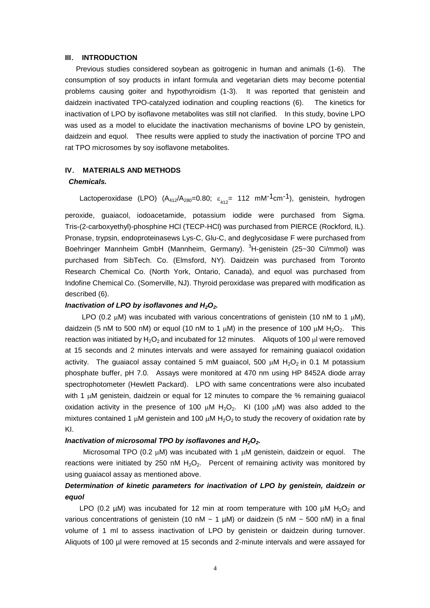#### **III**. **INTRODUCTION**

Previous studies considered soybean as goitrogenic in human and animals (1-6). The consumption of soy products in infant formula and vegetarian diets may become potential problems causing goiter and hypothyroidism (1-3). It was reported that genistein and daidzein inactivated TPO-catalyzed iodination and coupling reactions (6). The kinetics for inactivation of LPO by isoflavone metabolites was still not clarified. In this study, bovine LPO was used as a model to elucidate the inactivation mechanisms of bovine LPO by genistein, daidzein and equol. Thee results were applied to study the inactivation of porcine TPO and rat TPO microsomes by soy isoflavone metabolites.

#### **IV**. **MATERIALS AND METHODS**

#### *Chemicals.*

Lactoperoxidase (LPO) (A<sub>412</sub>/A<sub>280</sub>=0.80;  $\varepsilon_{_{412}}$ = 112 mM<sup>-1</sup>cm<sup>-1</sup>), genistein, hydrogen

peroxide, guaiacol, iodoacetamide, potassium iodide were purchased from Sigma. Tris-(2-carboxyethyl)-phosphine HCl (TECP-HCl) was purchased from PIERCE (Rockford, IL). Pronase, trypsin, endoproteinasews Lys-C, Glu-C, and deglycosidase F were purchased from Boehringer Mannheim GmbH (Mannheim, Germany). <sup>3</sup>H-genistein (25~30 Ci/mmol) was purchased from SibTech. Co. (Elmsford, NY). Daidzein was purchased from Toronto Research Chemical Co. (North York, Ontario, Canada), and equol was purchased from Indofine Chemical Co. (Somerville, NJ). Thyroid peroxidase was prepared with modification as described (6).

#### *Inactivation of LPO by isoflavones and H2O2.*

LPO (0.2  $\mu$ M) was incubated with various concentrations of genistein (10 nM to 1  $\mu$ M), daidzein (5 nM to 500 nM) or equol (10 nM to 1  $\mu$ M) in the presence of 100  $\mu$ M H<sub>2</sub>O<sub>2</sub>. This reaction was initiated by  $H_2O_2$  and incubated for 12 minutes. Aliquots of 100  $\mu$ l were removed at 15 seconds and 2 minutes intervals and were assayed for remaining guaiacol oxidation activity. The quaiacol assay contained 5 mM quaiacol, 500  $\mu$ M H<sub>2</sub>O<sub>2</sub> in 0.1 M potassium phosphate buffer, pH 7.0. Assays were monitored at 470 nm using HP 8452A diode array spectrophotometer (Hewlett Packard). LPO with same concentrations were also incubated with 1  $\mu$ M genistein, daidzein or equal for 12 minutes to compare the % remaining guaiacol oxidation activity in the presence of 100  $\mu$ M H<sub>2</sub>O<sub>2</sub>. KI (100  $\mu$ M) was also added to the mixtures contained 1  $\mu$ M genistein and 100  $\mu$ M H<sub>2</sub>O<sub>2</sub> to study the recovery of oxidation rate by KI.

#### *Inactivation of microsomal TPO by isoflavones and H2O2.*

Microsomal TPO (0.2  $\mu$ M) was incubated with 1  $\mu$ M genistein, daidzein or equol. The reactions were initiated by 250 nM  $H_2O_2$ . Percent of remaining activity was monitored by using guaiacol assay as mentioned above.

### *Determination of kinetic parameters for inactivation of LPO by genistein, daidzein or equol*

LPO (0.2  $\mu$ M) was incubated for 12 min at room temperature with 100  $\mu$ M H<sub>2</sub>O<sub>2</sub> and various concentrations of genistein (10 nM  $\sim$  1 µM) or daidzein (5 nM  $\sim$  500 nM) in a final volume of 1 ml to assess inactivation of LPO by genistein or daidzein during turnover. Aliquots of 100 µl were removed at 15 seconds and 2-minute intervals and were assayed for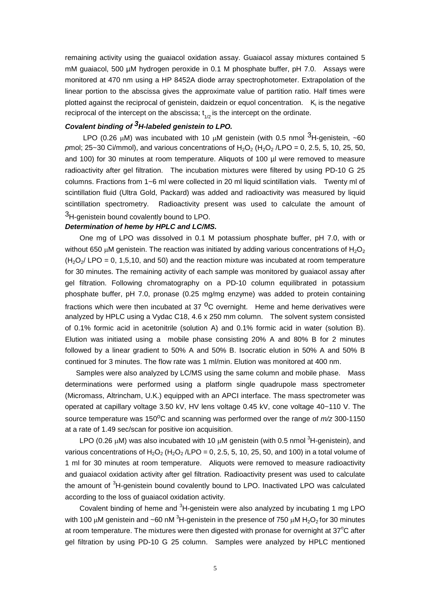remaining activity using the guaiacol oxidation assay. Guaiacol assay mixtures contained 5 mM guaiacol, 500 µM hydrogen peroxide in 0.1 M phosphate buffer, pH 7.0. Assays were monitored at 470 nm using a HP 8452A diode array spectrophotometer. Extrapolation of the linear portion to the abscissa gives the approximate value of partition ratio. Half times were plotted against the reciprocal of genistein, daidzein or equol concentration.  $K_i$  is the negative reciprocal of the intercept on the abscissa;  $t_{1/2}$  is the intercept on the ordinate.

## *Covalent binding of 3H-labeled genistein to LPO.*

LPO (0.26  $\mu$ M) was incubated with 10  $\mu$ M genistein (with 0.5 nmol  $3H$ -genistein, ~60 *p*mol; 25~30 Ci/mmol), and various concentrations of  $H_2O_2$  ( $H_2O_2$  /LPO = 0, 2.5, 5, 10, 25, 50, and 100) for 30 minutes at room temperature. Aliquots of 100 µl were removed to measure radioactivity after gel filtration. The incubation mixtures were filtered by using PD-10 G 25 columns. Fractions from 1~6 ml were collected in 20 ml liquid scintillation vials. Twenty ml of scintillation fluid (Ultra Gold, Packard) was added and radioactivity was measured by liquid scintillation spectrometry. Radioactivity present was used to calculate the amount of <sup>3</sup>H-genistein bound covalently bound to LPO.

#### *Determination of heme by HPLC and LC/MS.*

One mg of LPO was dissolved in 0.1 M potassium phosphate buffer, pH 7.0, with or without 650 uM genistein. The reaction was initiated by adding various concentrations of  $H_2O_2$  $(H<sub>2</sub>O<sub>2</sub>/$  LPO = 0, 1,5,10, and 50) and the reaction mixture was incubated at room temperature for 30 minutes. The remaining activity of each sample was monitored by guaiacol assay after gel filtration. Following chromatography on a PD-10 column equilibrated in potassium phosphate buffer, pH 7.0, pronase (0.25 mg/mg enzyme) was added to protein containing fractions which were then incubated at  $37<sup>o</sup>C$  overnight. Heme and heme derivatives were analyzed by HPLC using a Vydac C18, 4.6 x 250 mm column. The solvent system consisted of 0.1% formic acid in acetonitrile (solution A) and 0.1% formic acid in water (solution B). Elution was initiated using a mobile phase consisting 20% A and 80% B for 2 minutes followed by a linear gradient to 50% A and 50% B. Isocratic elution in 50% A and 50% B continued for 3 minutes. The flow rate was 1 ml/min. Elution was monitored at 400 nm.

Samples were also analyzed by LC/MS using the same column and mobile phase. Mass determinations were performed using a platform single quadrupole mass spectrometer (Micromass, Altrincham, U.K.) equipped with an APCI interface. The mass spectrometer was operated at capillary voltage 3.50 kV, HV lens voltage 0.45 kV, cone voltage 40~110 V. The source temperature was 150 $\degree$ C and scanning was performed over the range of  $m/z$  300-1150 at a rate of 1.49 sec/scan for positive ion acquisition.

LPO (0.26  $\mu$ M) was also incubated with 10  $\mu$ M genistein (with 0.5 nmol <sup>3</sup>H-genistein), and various concentrations of H<sub>2</sub>O<sub>2</sub> (H<sub>2</sub>O<sub>2</sub> /LPO = 0, 2.5, 5, 10, 25, 50, and 100) in a total volume of 1 ml for 30 minutes at room temperature. Aliquots were removed to measure radioactivity and guaiacol oxidation activity after gel filtration. Radioactivity present was used to calculate the amount of <sup>3</sup>H-genistein bound covalently bound to LPO. Inactivated LPO was calculated according to the loss of guaiacol oxidation activity.

Covalent binding of heme and <sup>3</sup>H-genistein were also analyzed by incubating 1 mg LPO with 100  $\mu$ M genistein and ~60 nM <sup>3</sup>H-genistein in the presence of 750  $\mu$ M H<sub>2</sub>O<sub>2</sub> for 30 minutes at room temperature. The mixtures were then digested with pronase for overnight at  $37^{\circ}$ C after gel filtration by using PD-10 G 25 column. Samples were analyzed by HPLC mentioned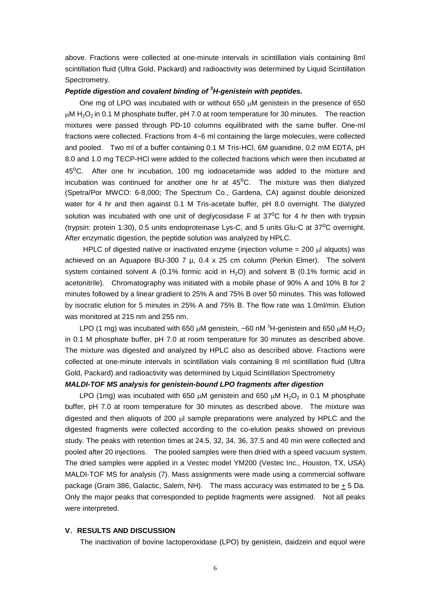above. Fractions were collected at one-minute intervals in scintillation vials containing 8ml scintillation fluid (Ultra Gold, Packard) and radioactivity was determined by Liquid Scintillation Spectrometry.

### *Peptide digestion and covalent binding of <sup>3</sup>H-genistein with peptides.*

One mg of LPO was incubated with or without  $650 \mu M$  genistein in the presence of  $650$  $\mu$ M H<sub>2</sub>O<sub>2</sub> in 0.1 M phosphate buffer, pH 7.0 at room temperature for 30 minutes. The reaction mixtures were passed through PD-10 columns equilibrated with the same buffer. One-ml fractions were collected. Fractions from 4~6 ml containing the large molecules, were collected and pooled. Two ml of a buffer containing 0.1 M Tris-HCl, 6M guanidine, 0.2 mM EDTA, pH 8.0 and 1.0 mg TECP-HCl were added to the collected fractions which were then incubated at  $45^{\circ}$ C. After one hr incubation, 100 mg iodoacetamide was added to the mixture and incubation was continued for another one hr at  $45^{\circ}$ C. The mixture was then dialyzed (Spetra/Por MWCO: 6-8,000; The Spectrum Co., Gardena, CA) against double deionized water for 4 hr and then against 0.1 M Tris-acetate buffer, pH 8.0 overnight. The dialyzed solution was incubated with one unit of deglycosidase F at  $37^{\circ}$ C for 4 hr then with trypsin (trypsin: protein 1:30), 0.5 units endoproteinase Lys-C, and 5 units Glu-C at  $37^{\circ}$ C overnight. After enzymatic digestion, the peptide solution was analyzed by HPLC.

HPLC of digested native or inactivated enzyme (injection volume  $= 200$  ul alguots) was achieved on an Aquapore BU-300 7  $\mu$ , 0.4 x 25 cm column (Perkin Elmer). The solvent system contained solvent A (0.1% formic acid in  $H_2O$ ) and solvent B (0.1% formic acid in acetonitrile). Chromatography was initiated with a mobile phase of 90% A and 10% B for 2 minutes followed by a linear gradient to 25% A and 75% B over 50 minutes. This was followed by isocratic elution for 5 minutes in 25% A and 75% B. The flow rate was 1.0ml/min. Elution was monitored at 215 nm and 255 nm.

LPO (1 mg) was incubated with 650  $\mu$ M genistein, ~60 nM  ${}^{3}$ H-genistein and 650  $\mu$ M H<sub>2</sub>O<sub>2</sub> in 0.1 M phosphate buffer, pH 7.0 at room temperature for 30 minutes as described above. The mixture was digested and analyzed by HPLC also as described above. Fractions were collected at one-minute intervals in scintillation vials containing 8 ml scintillation fluid (Ultra Gold, Packard) and radioactivity was determined by Liquid Scintillation Spectrometry

#### *MALDI-TOF MS analysis for genistein-bound LPO fragments after digestion*

LPO (1mg) was incubated with 650  $\mu$ M genistein and 650  $\mu$ M H<sub>2</sub>O<sub>2</sub> in 0.1 M phosphate buffer, pH 7.0 at room temperature for 30 minutes as described above. The mixture was digested and then aliquots of 200 **ul** sample preparations were analyzed by HPLC and the digested fragments were collected according to the co-elution peaks showed on previous study. The peaks with retention times at 24.5, 32, 34, 36, 37.5 and 40 min were collected and pooled after 20 injections. The pooled samples were then dried with a speed vacuum system. The dried samples were applied in a Vestec model YM200 (Vestec Inc., Houston, TX, USA) MALDI-TOF MS for analysis (7). Mass assignments were made using a commercial software package (Gram 386, Galactic, Salem, NH). The mass accuracy was estimated to be  $\pm$  5 Da. Only the major peaks that corresponded to peptide fragments were assigned. Not all peaks were interpreted.

#### **V**.**RESULTS AND DISCUSSION**

The inactivation of bovine lactoperoxidase (LPO) by genistein, daidzein and equol were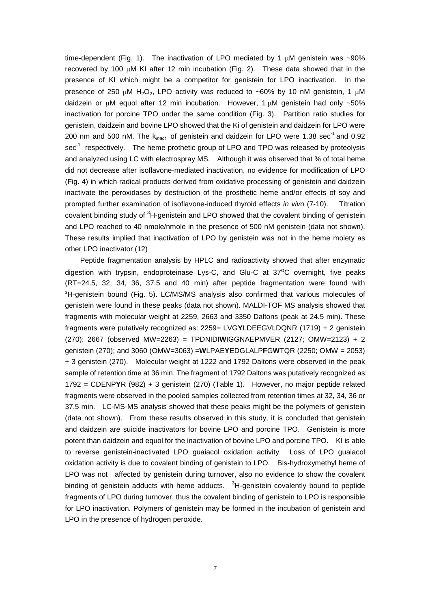time-dependent (Fig. 1). The inactivation of LPO mediated by 1  $\mu$ M genistein was ~90% recovered by 100  $\mu$ M KI after 12 min incubation (Fig. 2). These data showed that in the presence of KI which might be a competitor for genistein for LPO inactivation. In the presence of 250  $\mu$ M H<sub>2</sub>O<sub>2</sub>, LPO activity was reduced to ~60% by 10 nM genistein, 1  $\mu$ M daidzein or  $\mu$ M equol after 12 min incubation. However, 1  $\mu$ M genistein had only ~50% inactivation for porcine TPO under the same condition (Fig. 3). Partition ratio studies for genistein, daidzein and bovine LPO showed that the Ki of genistein and daidzein for LPO were 200 nm and 500 nM. The k<sub>inact</sub> of genistein and daidzein for LPO were 1.38 sec<sup>-1</sup> and 0.92 sec<sup>-1</sup> respectively. The heme prothetic group of LPO and TPO was released by proteolysis and analyzed using LC with electrospray MS. Although it was observed that % of total heme did not decrease after isoflavone-mediated inactivation, no evidence for modification of LPO (Fig. 4) in which radical products derived from oxidative processing of genistein and daidzein inactivate the peroxidases by destruction of the prosthetic heme and/or effects of soy and prompted further examination of isoflavone-induced thyroid effects *in vivo* (7-10). Titration covalent binding study of <sup>3</sup>H-genistein and LPO showed that the covalent binding of genistein and LPO reached to 40 nmole/nmole in the presence of 500 nM genistein (data not shown). These results implied that inactivation of LPO by genistein was not in the heme moiety as other LPO inactivator (12)

Peptide fragmentation analysis by HPLC and radioactivity showed that after enzymatic digestion with trypsin, endoproteinase Lys-C, and Glu-C at  $37^{\circ}$ C overnight, five peaks (RT=24.5, 32, 34, 36, 37.5 and 40 min) after peptide fragmentation were found with <sup>3</sup>H-genistein bound (Fig. 5). LC/MS/MS analysis also confirmed that various molecules of genistein were found in these peaks (data not shown). MALDI-TOF MS analysis showed that fragments with molecular weight at 2259, 2663 and 3350 Daltons (peak at 24.5 min). These fragments were putatively recognized as: 2259= LVG**Y**LDEEGVLDQNR (1719) + 2 genistein (270); 2667 (observed MW=2263) = TPDNIDI**W**IGGNAEPMVER (2127; OMW=2123) + 2 genistein (270); and 3060 (OMW=3063) =**W**LPAE**Y**EDGLALP**F**G**W**TQR (2250; OMW = 2053) + 3 genistein (270). Molecular weight at 1222 and 1792 Daltons were observed in the peak sample of retention time at 36 min. The fragment of 1792 Daltons was putatively recognized as: 1792 = CDENP**Y**R (982) + 3 genistein (270) (Table 1). However, no major peptide related fragments were observed in the pooled samples collected from retention times at 32, 34, 36 or 37.5 min. LC-MS-MS analysis showed that these peaks might be the polymers of genistein (data not shown). From these results observed in this study, it is concluded that genistein and daidzein are suicide inactivators for bovine LPO and porcine TPO. Genistein is more potent than daidzein and equol for the inactivation of bovine LPO and porcine TPO. KI is able to reverse genistein-inactivated LPO guaiacol oxidation activity. Loss of LPO guaiacol oxidation activity is due to covalent binding of genistein to LPO. Bis-hydroxymethyl heme of LPO was not affected by genistein during turnover, also no evidence to show the covalent binding of genistein adducts with heme adducts.  $3H$ -genistein covalently bound to peptide fragments of LPO during turnover, thus the covalent binding of genistein to LPO is responsible for LPO inactivation. Polymers of genistein may be formed in the incubation of genistein and LPO in the presence of hydrogen peroxide.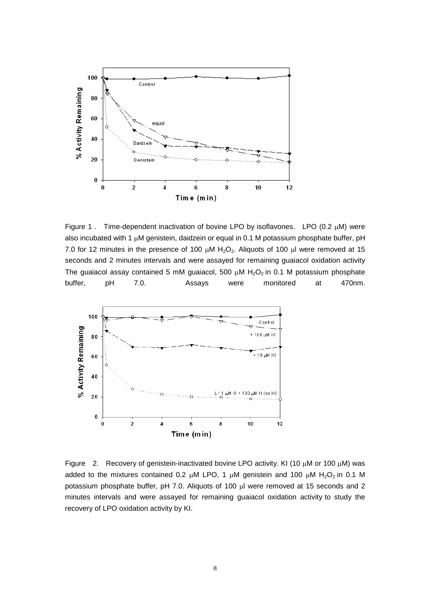

Figure 1. Time-dependent inactivation of bovine LPO by isoflavones. LPO (0.2  $\mu$ M) were also incubated with 1  $\mu$ M genistein, daidzein or equal in 0.1 M potassium phosphate buffer, pH 7.0 for 12 minutes in the presence of 100  $\mu$ M H<sub>2</sub>O<sub>2</sub>. Aliquots of 100  $\mu$ l were removed at 15 seconds and 2 minutes intervals and were assayed for remaining guaiacol oxidation activity The guaiacol assay contained 5 mM guaiacol, 500  $\mu$ M H<sub>2</sub>O<sub>2</sub> in 0.1 M potassium phosphate buffer, pH 7.0. Assays were monitored at 470nm.



Figure 2. Recovery of genistein-inactivated bovine LPO activity. KI (10  $\mu$ M or 100  $\mu$ M) was added to the mixtures contained 0.2  $\mu$ M LPO, 1  $\mu$ M genistein and 100  $\mu$ M H<sub>2</sub>O<sub>2</sub> in 0.1 M potassium phosphate buffer, pH 7.0. Aliquots of 100 µl were removed at 15 seconds and 2 minutes intervals and were assayed for remaining guaiacol oxidation activity to study the recovery of LPO oxidation activity by KI.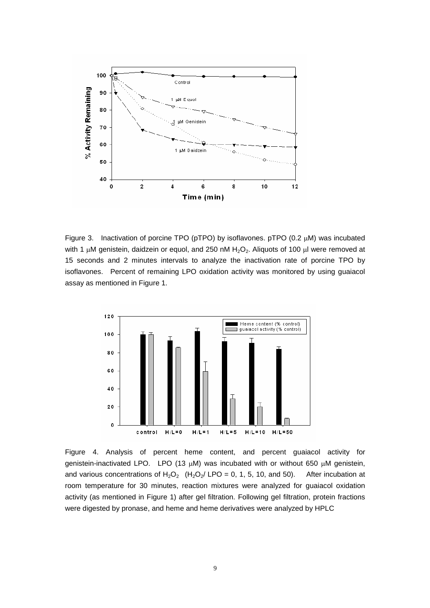

Figure 3. Inactivation of porcine TPO ( $pTPO$ ) by isoflavones.  $pTPO$  (0.2  $\mu$ M) was incubated with 1  $\mu$ M genistein, daidzein or equol, and 250 nM H<sub>2</sub>O<sub>2</sub>. Aliquots of 100  $\mu$ l were removed at 15 seconds and 2 minutes intervals to analyze the inactivation rate of porcine TPO by isoflavones. Percent of remaining LPO oxidation activity was monitored by using guaiacol assay as mentioned in Figure 1.



Figure 4. Analysis of percent heme content, and percent guaiacol activity for genistein-inactivated LPO. LPO (13  $\mu$ M) was incubated with or without 650  $\mu$ M genistein, and various concentrations of H<sub>2</sub>O<sub>2</sub> (H<sub>2</sub>O<sub>2</sub>/ LPO = 0, 1, 5, 10, and 50). After incubation at room temperature for 30 minutes, reaction mixtures were analyzed for guaiacol oxidation activity (as mentioned in Figure 1) after gel filtration. Following gel filtration, protein fractions were digested by pronase, and heme and heme derivatives were analyzed by HPLC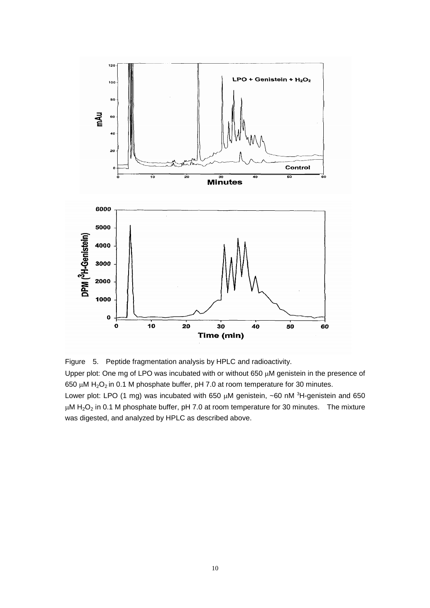

Figure 5. Peptide fragmentation analysis by HPLC and radioactivity. Upper plot: One mg of LPO was incubated with or without 650  $\mu$ M genistein in the presence of 650  $\mu$ M H<sub>2</sub>O<sub>2</sub> in 0.1 M phosphate buffer, pH 7.0 at room temperature for 30 minutes. Lower plot: LPO (1 mg) was incubated with 650  $\mu$ M genistein, ~60 nM  ${}^{3}$ H-genistein and 650  $\mu$ M H<sub>2</sub>O<sub>2</sub> in 0.1 M phosphate buffer, pH 7.0 at room temperature for 30 minutes. The mixture was digested, and analyzed by HPLC as described above.